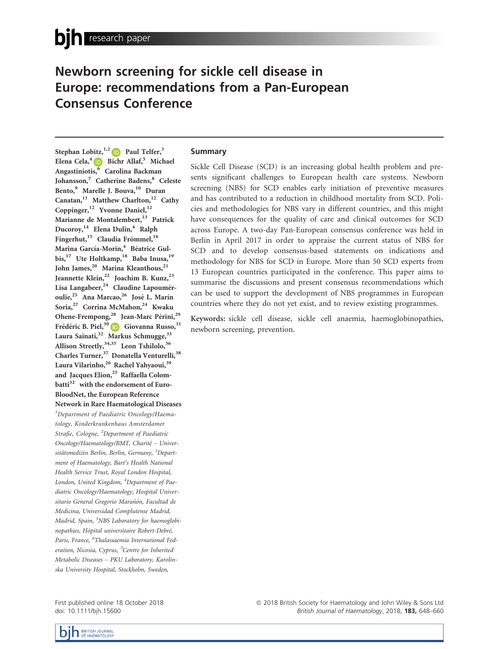# Newborn screening for sickle cell disease in Europe: recommendations from a Pan-European Consensus Conference

Stephan Lobitz,  $1,2$  Paul Telfer,<sup>3</sup> Elena Cela,<sup>4</sup> **Bichr Allaf**,<sup>5</sup> Michael Angastiniotis,<sup>6</sup> Carolina Backman Johansson,<sup>7</sup> Catherine Badens,<sup>8</sup> Celeste Bento,<sup>9</sup> Marelle J. Bouva,<sup>10</sup> Duran Canatan, <sup>11</sup> Matthew Charlton, <sup>12</sup> Cathy Coppinger,  $^{12}$  Yvonne Daniel,  $^{12}$ Marianne de Montalembert,<sup>13</sup> Patrick Ducoroy,<sup>14</sup> Elena Dulin,<sup>4</sup> Ralph Fingerhut,<sup>15</sup> Claudia Frömmel,<sup>16</sup> Marina García-Morin,<sup>4</sup> Béatrice Gulbis,<sup>17</sup> Ute Holtkamp,<sup>18</sup> Baba Inusa,<sup>19</sup> John James,<sup>20</sup> Marina Kleanthous,<sup>21</sup> Jeannette Klein,<sup>22</sup> Joachim B. Kunz,<sup>23</sup> Lisa Langabeer,<sup>24</sup> Claudine Lapouméroulie,<sup>25</sup> Ana Marcao,<sup>26</sup> José L. Marín Soria,<sup>27</sup> Corrina McMahon,<sup>24</sup> Kwaku Ohene-Frempong,<sup>28</sup> Jean-Marc Périni,<sup>29</sup> Frédéric B. Piel,<sup>3[0](http://orcid.org/0000-0001-8131-7728)</sup> Giovanna Russo,<sup>31</sup> Laura Sainati,<sup>32</sup> Markus Schmugge,<sup>33</sup> Allison Streetly,  $34,35$  Leon Tshilolo,  $36$ Charles Turner,<sup>37</sup> Donatella Venturelli,<sup>38</sup> Laura Vilarinho,<sup>26</sup> Rachel Yahyaoui,<sup>39</sup> and Jacques Elion,<sup>25</sup> Raffaella Colombatti $32$  with the endorsement of Euro-BloodNet, the European Reference Network in Rare Haematological Diseases <sup>1</sup>Department of Paediatric Oncology/Haematology, Kinderkrankenhaus Amsterdamer Straße, Cologne, <sup>2</sup>Department of Paediatric Oncology/Haematology/BMT, Charité - Universitätsmedizin Berlin, Berlin, Germany, <sup>3</sup>Department of Haematology, Bart's Health National Health Service Trust, Royal London Hospital, London, United Kingdom, <sup>4</sup>Department of Paediatric Oncology/Haematology, Hospital Universitario General Gregorio Marañón, Facultad de Medicina, Universidad Complutense Madrid, Madrid, Spain, <sup>5</sup>NBS Laboratory for haemoglobinopathies, Hôpital universitaire Robert-Debré, Paris, France, <sup>6</sup>Thalassaemia International Federation, Nicosia, Cyprus, <sup>7</sup>Centre for Inherited Metabolic Diseases – PKU Laboratory, Karolinska University Hospital, Stockholm, Sweden,

#### Summary

Sickle Cell Disease (SCD) is an increasing global health problem and presents significant challenges to European health care systems. Newborn screening (NBS) for SCD enables early initiation of preventive measures and has contributed to a reduction in childhood mortality from SCD. Policies and methodologies for NBS vary in different countries, and this might have consequences for the quality of care and clinical outcomes for SCD across Europe. A two-day Pan-European consensus conference was held in Berlin in April 2017 in order to appraise the current status of NBS for SCD and to develop consensus-based statements on indications and methodology for NBS for SCD in Europe. More than 50 SCD experts from 13 European countries participated in the conference. This paper aims to summarise the discussions and present consensus recommendations which can be used to support the development of NBS programmes in European countries where they do not yet exist, and to review existing programmes.

Keywords: sickle cell disease, sickle cell anaemia, haemoglobinopathies, newborn screening, prevention.

First published online 18 October 2018 doi: 10.1111/bjh.15600

ª 2018 British Society for Haematology and John Wiley & Sons Ltd British Journal of Haematology, 2018, 183, 648-660

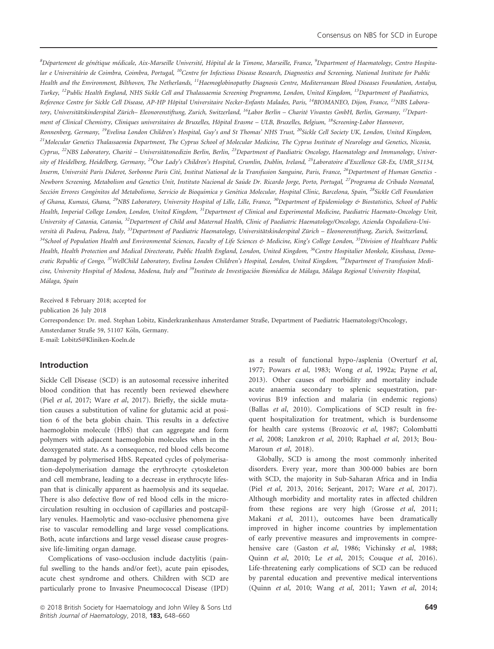<sup>8</sup>Département de génétique médicale, Aix-Marseille Université, Hôpital de la Timone, Marseille, France, <sup>9</sup>Department of Haematology, Centro Hospitalar e Universitário de Coimbra, Coimbra, Portugal, <sup>10</sup>Centre for Infectious Disease Research, Diagnostics and Screening, National Institute for Public Health and the Environment, Bilthoven, The Netherlands, <sup>11</sup>Haemoglobinopathy Diagnosis Centre, Mediterranean Blood Diseases Foundation, Antalya, Turkey, <sup>12</sup>Public Health England, NHS Sickle Cell and Thalassaemia Screening Programme, London, United Kingdom, <sup>13</sup>Department of Paediatrics, Reference Centre for Sickle Cell Disease, AP-HP Hôpital Universitaire Necker-Enfants Malades, Paris, <sup>14</sup>BIOMANEO, Dijon, France, <sup>15</sup>NBS Laboratory, Universitätskinderspital Zürich– Eleonorenstiftung, Zurich, Switzerland, <sup>16</sup>Labor Berlin – Charité Vivantes GmbH, Berlin, Germany, <sup>17</sup>Department of Clinical Chemistry, Cliniques universitaires de Bruxelles, Hôpital Erasme – ULB, Bruxelles, Belgium, <sup>18</sup>Screening-Labor Hannover, Ronnenberg, Germany, <sup>19</sup>Evelina London Children's Hospital, Guy's and St Thomas' NHS Trust, <sup>20</sup>Sickle Cell Society UK, London, United Kingdom, <sup>21</sup>Molecular Genetics Thalassaemia Department, The Cyprus School of Molecular Medicine, The Cyprus Institute of Neurology and Genetics, Nicosia, Cyprus, <sup>22</sup>NBS Laboratory, Charité – Universitätsmedizin Berlin, Berlin, <sup>23</sup>Department of Paediatric Oncology, Haematology and Immunology, University of Heidelberg, Heidelberg, Germany, <sup>24</sup>Our Lady's Children's Hospital, Crumlin, Dublin, Ireland, <sup>25</sup>Laboratoire d'Excellence GR-Ex, UMR\_S1134, Inserm, Université Paris Diderot, Sorbonne Paris Cité, Institut National de la Transfusion Sanguine, Paris, France, <sup>26</sup>Department of Human Genetics -Newborn Screening, Metabolism and Genetics Unit, Instituto Nacional de Saúde Dr. Ricardo Jorge, Porto, Portugal, <sup>27</sup>Programa de Cribado Neonatal, Sección Errores Congénitos del Metabolismo, Servicio de Bioquímica y Genética Molecular, Hospital Clínic, Barcelona, Spain, <sup>28</sup>Sickle Cell Foundation of Ghana, Kumasi, Ghana, <sup>29</sup>NBS Laboratory, University Hospital of Lille, Lille, France, <sup>30</sup>Department of Epidemiology & Biostatistics, School of Public Health, Imperial College London, London, United Kingdom, <sup>31</sup>Department of Clinical and Experimental Medicine, Paediatric Haemato-Oncology Unit, University of Catania, Catania, <sup>32</sup>Department of Child and Maternal Health, Clinic of Paediatric Haematology/Oncology, Azienda Ospedaliera-Università di Padova, Padova, Italy, <sup>33</sup>Department of Paediatric Haematology, Universitätskinderspital Zürich – Eleonorenstiftung, Zurich, Switzerland, <sup>34</sup>School of Population Health and Environmental Sciences, Faculty of Life Sciences & Medicine, King's College London, <sup>35</sup>Division of Healthcare Public Health, Health Protection and Medical Directorate, Public Health England, London, United Kingdom, <sup>36</sup>Centre Hospitalier Monkole, Kinshasa, Democratic Republic of Congo, <sup>37</sup>WellChild Laboratory, Evelina London Children's Hospital, London, United Kingdom, <sup>38</sup>Department of Transfusion Medicine, University Hospital of Modena, Modena, Italy and <sup>39</sup>Instituto de Investigación Biomédica de Málaga, Málaga Regional University Hospital, Málaga, Spain

Received 8 February 2018; accepted for

publication 26 July 2018

Correspondence: Dr. med. Stephan Lobitz, Kinderkrankenhaus Amsterdamer Straße, Department of Paediatric Haematology/Oncology, Amsterdamer Straße 59, 51107 Köln, Germany.

E-mail: [LobitzS@Kliniken-Koeln.de](mailto:)

#### Introduction

Sickle Cell Disease (SCD) is an autosomal recessive inherited blood condition that has recently been reviewed elsewhere (Piel et al, 2017; Ware et al, 2017). Briefly, the sickle mutation causes a substitution of valine for glutamic acid at position 6 of the beta globin chain. This results in a defective haemoglobin molecule (HbS) that can aggregate and form polymers with adjacent haemoglobin molecules when in the deoxygenated state. As a consequence, red blood cells become damaged by polymerised HbS. Repeated cycles of polymerisation-depolymerisation damage the erythrocyte cytoskeleton and cell membrane, leading to a decrease in erythrocyte lifespan that is clinically apparent as haemolysis and its sequelae. There is also defective flow of red blood cells in the microcirculation resulting in occlusion of capillaries and postcapillary venules. Haemolytic and vaso-occlusive phenomena give rise to vascular remodelling and large vessel complications. Both, acute infarctions and large vessel disease cause progressive life-limiting organ damage.

Complications of vaso-occlusion include dactylitis (painful swelling to the hands and/or feet), acute pain episodes, acute chest syndrome and others. Children with SCD are particularly prone to Invasive Pneumococcal Disease (IPD)

 $\degree$  2018 British Society for Haematology and John Wiley & Sons Ltd 649 British Journal of Haematology, 2018, 183, 648-660

as a result of functional hypo-/asplenia (Overturf et al, 1977; Powars et al, 1983; Wong et al, 1992a; Payne et al, 2013). Other causes of morbidity and mortality include acute anaemia secondary to splenic sequestration, parvovirus B19 infection and malaria (in endemic regions) (Ballas et al, 2010). Complications of SCD result in frequent hospitalization for treatment, which is burdensome for health care systems (Brozovic et al, 1987; Colombatti et al, 2008; Lanzkron et al, 2010; Raphael et al, 2013; Bou-Maroun et al, 2018).

Globally, SCD is among the most commonly inherited disorders. Every year, more than 300.000 babies are born with SCD, the majority in Sub-Saharan Africa and in India (Piel et al, 2013, 2016; Serjeant, 2017; Ware et al, 2017). Although morbidity and mortality rates in affected children from these regions are very high (Grosse et al, 2011; Makani et al, 2011), outcomes have been dramatically improved in higher income countries by implementation of early preventive measures and improvements in comprehensive care (Gaston et al, 1986; Vichinsky et al, 1988; Quinn et al, 2010; Le et al, 2015; Couque et al, 2016). Life-threatening early complications of SCD can be reduced by parental education and preventive medical interventions (Quinn et al, 2010; Wang et al, 2011; Yawn et al, 2014;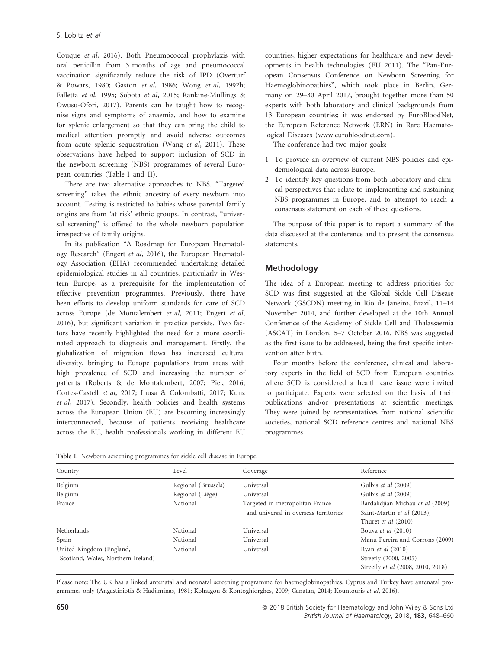Couque et al, 2016). Both Pneumococcal prophylaxis with oral penicillin from 3 months of age and pneumococcal vaccination significantly reduce the risk of IPD (Overturf & Powars, 1980; Gaston et al, 1986; Wong et al, 1992b; Falletta et al, 1995; Sobota et al, 2015; Rankine-Mullings & Owusu-Ofori, 2017). Parents can be taught how to recognise signs and symptoms of anaemia, and how to examine for splenic enlargement so that they can bring the child to medical attention promptly and avoid adverse outcomes from acute splenic sequestration (Wang et al, 2011). These observations have helped to support inclusion of SCD in the newborn screening (NBS) programmes of several European countries (Table I and II).

There are two alternative approaches to NBS. "Targeted screening" takes the ethnic ancestry of every newborn into account. Testing is restricted to babies whose parental family origins are from 'at risk' ethnic groups. In contrast, "universal screening" is offered to the whole newborn population irrespective of family origins.

In its publication "A Roadmap for European Haematology Research" (Engert et al, 2016), the European Haematology Association (EHA) recommended undertaking detailed epidemiological studies in all countries, particularly in Western Europe, as a prerequisite for the implementation of effective prevention programmes. Previously, there have been efforts to develop uniform standards for care of SCD across Europe (de Montalembert et al, 2011; Engert et al, 2016), but significant variation in practice persists. Two factors have recently highlighted the need for a more coordinated approach to diagnosis and management. Firstly, the globalization of migration flows has increased cultural diversity, bringing to Europe populations from areas with high prevalence of SCD and increasing the number of patients (Roberts & de Montalembert, 2007; Piel, 2016; Cortes-Castell et al, 2017; Inusa & Colombatti, 2017; Kunz et al, 2017). Secondly, health policies and health systems across the European Union (EU) are becoming increasingly interconnected, because of patients receiving healthcare across the EU, health professionals working in different EU

countries, higher expectations for healthcare and new developments in health technologies (EU 2011). The "Pan-European Consensus Conference on Newborn Screening for Haemoglobinopathies", which took place in Berlin, Germany on 29–30 April 2017, brought together more than 50 experts with both laboratory and clinical backgrounds from 13 European countries; it was endorsed by EuroBloodNet, the European Reference Network (ERN) in Rare Haematological Diseases [\(www.eurobloodnet.com](http://www.eurobloodnet.com)).

The conference had two major goals:

- 1 To provide an overview of current NBS policies and epidemiological data across Europe.
- 2 To identify key questions from both laboratory and clinical perspectives that relate to implementing and sustaining NBS programmes in Europe, and to attempt to reach a consensus statement on each of these questions.

The purpose of this paper is to report a summary of the data discussed at the conference and to present the consensus statements.

# Methodology

The idea of a European meeting to address priorities for SCD was first suggested at the Global Sickle Cell Disease Network (GSCDN) meeting in Rio de Janeiro, Brazil, 11–14 November 2014, and further developed at the 10th Annual Conference of the Academy of Sickle Cell and Thalassaemia (ASCAT) in London, 5–7 October 2016. NBS was suggested as the first issue to be addressed, being the first specific intervention after birth.

Four months before the conference, clinical and laboratory experts in the field of SCD from European countries where SCD is considered a health care issue were invited to participate. Experts were selected on the basis of their publications and/or presentations at scientific meetings. They were joined by representatives from national scientific societies, national SCD reference centres and national NBS programmes.

Table I. Newborn screening programmes for sickle cell disease in Europe.

| Country                            | Level               | Coverage                              | Reference                         |
|------------------------------------|---------------------|---------------------------------------|-----------------------------------|
| Belgium                            | Regional (Brussels) | Universal                             | Gulbis et al (2009)               |
| Belgium                            | Regional (Liége)    | Universal                             | Gulbis et al (2009)               |
| France                             | National            | Targeted in metropolitan France       | Bardakdjian-Michau et al (2009)   |
|                                    |                     | and universal in overseas territories | Saint-Martin et al (2013),        |
|                                    |                     |                                       | Thuret et al (2010)               |
| Netherlands                        | National            | Universal                             | Bouva et al (2010)                |
| Spain                              | National            | Universal                             | Manu Pereira and Corrons (2009)   |
| United Kingdom (England,           | National            | Universal                             | Ryan <i>et al</i> (2010)          |
| Scotland, Wales, Northern Ireland) |                     |                                       | Streetly (2000, 2005)             |
|                                    |                     |                                       | Streetly et al (2008, 2010, 2018) |

Please note: The UK has a linked antenatal and neonatal screening programme for haemoglobinopathies. Cyprus and Turkey have antenatal programmes only (Angastiniotis & Hadjiminas, 1981; Kolnagou & Kontoghiorghes, 2009; Canatan, 2014; Kountouris et al, 2016).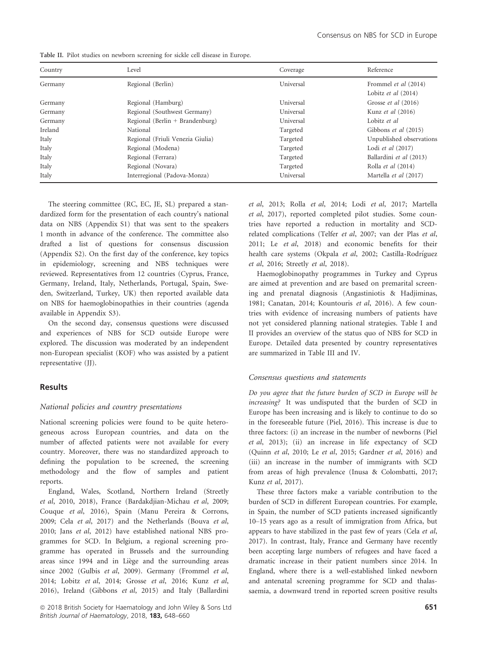| Country | Level                            | Coverage  | Reference                 |
|---------|----------------------------------|-----------|---------------------------|
| Germany | Regional (Berlin)                | Universal | Frommel et al (2014)      |
|         |                                  |           | Lobitz et al $(2014)$     |
| Germany | Regional (Hamburg)               | Universal | Grosse et al (2016)       |
| Germany | Regional (Southwest Germany)     | Universal | Kunz et al (2016)         |
| Germany | Regional (Berlin + Brandenburg)  | Universal | Lobitz et al              |
| Ireland | National                         | Targeted  | Gibbons et al (2015)      |
| Italy   | Regional (Friuli Venezia Giulia) | Targeted  | Unpublished observations  |
| Italy   | Regional (Modena)                | Targeted  | Lodi et al $(2017)$       |
| Italy   | Regional (Ferrara)               | Targeted  | Ballardini et al (2013)   |
| Italy   | Regional (Novara)                | Targeted  | Rolla <i>et al</i> (2014) |
| Italy   | Interregional (Padova-Monza)     | Universal | Martella et al (2017)     |

Table II. Pilot studies on newborn screening for sickle cell disease in Europe.

The steering committee (RC, EC, JE, SL) prepared a standardized form for the presentation of each country's national data on NBS (Appendix S1) that was sent to the speakers 1 month in advance of the conference. The committee also drafted a list of questions for consensus discussion (Appendix S2). On the first day of the conference, key topics in epidemiology, screening and NBS techniques were reviewed. Representatives from 12 countries (Cyprus, France, Germany, Ireland, Italy, Netherlands, Portugal, Spain, Sweden, Switzerland, Turkey, UK) then reported available data on NBS for haemoglobinopathies in their countries (agenda available in Appendix S3).

On the second day, consensus questions were discussed and experiences of NBS for SCD outside Europe were explored. The discussion was moderated by an independent non-European specialist (KOF) who was assisted by a patient representative (JJ).

## Results

#### National policies and country presentations

National screening policies were found to be quite heterogeneous across European countries, and data on the number of affected patients were not available for every country. Moreover, there was no standardized approach to defining the population to be screened, the screening methodology and the flow of samples and patient reports.

England, Wales, Scotland, Northern Ireland (Streetly et al, 2010, 2018), France (Bardakdjian-Michau et al, 2009; Couque et al, 2016), Spain (Manu Pereira & Corrons, 2009; Cela et al, 2017) and the Netherlands (Bouva et al, 2010; Jans et al, 2012) have established national NBS programmes for SCD. In Belgium, a regional screening programme has operated in Brussels and the surrounding areas since 1994 and in Liege and the surrounding areas since 2002 (Gulbis et al, 2009). Germany (Frommel et al, 2014; Lobitz et al, 2014; Grosse et al, 2016; Kunz et al, 2016), Ireland (Gibbons et al, 2015) and Italy (Ballardini

 $\degree$  2018 British Society for Haematology and John Wiley & Sons Ltd 651 British Journal of Haematology, 2018, 183, 648-660

et al, 2013; Rolla et al, 2014; Lodi et al, 2017; Martella et al, 2017), reported completed pilot studies. Some countries have reported a reduction in mortality and SCDrelated complications (Telfer et al, 2007; van der Plas et al, 2011; Le et al, 2018) and economic benefits for their health care systems (Okpala et al, 2002; Castilla-Rodríguez et al, 2016; Streetly et al, 2018).

Haemoglobinopathy programmes in Turkey and Cyprus are aimed at prevention and are based on premarital screening and prenatal diagnosis (Angastiniotis & Hadjiminas, 1981; Canatan, 2014; Kountouris et al, 2016). A few countries with evidence of increasing numbers of patients have not yet considered planning national strategies. Table I and II provides an overview of the status quo of NBS for SCD in Europe. Detailed data presented by country representatives are summarized in Table III and IV.

#### Consensus questions and statements

Do you agree that the future burden of SCD in Europe will be increasing? It was undisputed that the burden of SCD in Europe has been increasing and is likely to continue to do so in the foreseeable future (Piel, 2016). This increase is due to three factors: (i) an increase in the number of newborns (Piel et al, 2013); (ii) an increase in life expectancy of SCD (Quinn et al, 2010; Le et al, 2015; Gardner et al, 2016) and (iii) an increase in the number of immigrants with SCD from areas of high prevalence (Inusa & Colombatti, 2017; Kunz et al, 2017).

These three factors make a variable contribution to the burden of SCD in different European countries. For example, in Spain, the number of SCD patients increased significantly 10–15 years ago as a result of immigration from Africa, but appears to have stabilized in the past few of years (Cela et al, 2017). In contrast, Italy, France and Germany have recently been accepting large numbers of refugees and have faced a dramatic increase in their patient numbers since 2014. In England, where there is a well-established linked newborn and antenatal screening programme for SCD and thalassaemia, a downward trend in reported screen positive results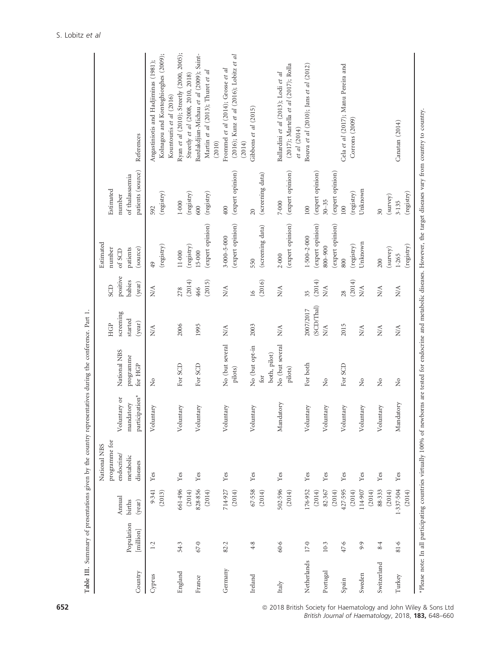| patients (source)<br>(expert opinion)<br>(expert opinion)<br>(expert opinion)<br>(expert opinion)<br>(screening data)<br>of thalassaemia<br>Unknown<br>Estimated<br>(registry)<br>$(\text{register})$<br>(registry)<br>(registry)<br>number<br>(survey)<br>$30 - 35$<br>3.135<br>1.000<br>7.000<br>600<br>100<br>100<br>400<br>592<br>$\overline{\omega}$<br>20<br>(expert opinion)<br>(expert opinion)<br>(expert opinion)<br>(expert opinion)<br>(expert opinion)<br>(screening data)<br>$3.000 - 5.000$<br>$1.500 - 2.000$<br>Unknown<br>(registry)<br>(registry)<br>(registry)<br>$006 - 008$<br>(survey)<br>(source)<br>number<br>patients<br>of SCD<br>11.000<br>15.000<br>1.265<br>2.000<br>200<br>800<br>550<br>49<br>positive<br>(2016)<br>(2014)<br>(2014)<br>babies<br>(2014)<br>(2015)<br>(year)<br><b>GD</b><br>N/A<br><b>N/A</b><br><b>N/A</b><br><b>N/A</b><br>N/A<br>$\frac{\triangleleft}{N}$<br>466<br><b>N/A</b><br>278<br>28<br>$\overline{16}$<br>35<br>(SCD/Thal)<br>2007/2017<br>screening<br>started<br>(year)<br>HGP<br>2006<br>1995<br>2015<br>2003<br>$\mathop{\rm NA}\nolimits$<br>$\mathop{\rm NA}\limits$<br>$\mathop{\rm N}\nolimits\!mathop{\rm A}\nolimits$<br>N/A<br>$\frac{\lambda}{\lambda}$<br>$\stackrel{\triangle}{\geq}$<br>$\stackrel{\triangle}{\geq}$<br>No (but several<br>No (but opt-in<br>No (but several<br>National NBS<br>both, pilot)<br>programme<br>for HGP<br>For both<br>For SCD<br>For SCD<br>For SCD<br>pilots)<br>pilots)<br>for<br>ż<br>ż<br>$\mathbf{\hat{z}}$<br>$\stackrel{\circ}{\mathbf{Z}}$<br>$\tilde{z}$<br>participation*<br>Voluntary or<br>mandatory<br>Mandatory<br>Mandatory<br>Voluntary<br>Voluntary<br>Voluntary<br>Voluntary<br>Voluntary<br>Voluntary<br>Voluntary<br>Voluntary<br>Voluntary<br>Voluntary<br>programme for<br>endocrine/<br>metabolic<br>diseases<br>$\mathbf{Yes}$<br>Yes<br>Yes<br>Yes<br>Yes<br>Yes<br>Yes<br>Yes<br>Yes<br>Yes<br>Yes<br>Yes<br>502-596<br>661.496<br>828-856<br>67.558<br>427-595<br>88.333<br>1.337.504<br>714.927<br>176.952<br>9.341<br>82.367<br>114.907<br>(2014)<br>(2014)<br>(2014)<br>(2014)<br>(2014)<br>(2014)<br>(2013)<br>(2014)<br>(2014)<br>(2014)<br>(2014)<br>Annual<br>births<br>(year)<br>Population<br>[million]<br>54.3<br>67.0<br>82.2<br>4.8<br>60.6<br>17.0<br>10.3<br>47.6<br>9.9<br>8.4<br>81.6<br>1.2<br>Netherlands<br>Switzerland<br>Germany<br>Portugal<br>Country<br>England<br>Sweden<br>Cyprus<br>Ireland<br>Turkey<br>France<br>Spain<br>Italy |  | National NBS |  |  | Estimated |                                                                |
|---------------------------------------------------------------------------------------------------------------------------------------------------------------------------------------------------------------------------------------------------------------------------------------------------------------------------------------------------------------------------------------------------------------------------------------------------------------------------------------------------------------------------------------------------------------------------------------------------------------------------------------------------------------------------------------------------------------------------------------------------------------------------------------------------------------------------------------------------------------------------------------------------------------------------------------------------------------------------------------------------------------------------------------------------------------------------------------------------------------------------------------------------------------------------------------------------------------------------------------------------------------------------------------------------------------------------------------------------------------------------------------------------------------------------------------------------------------------------------------------------------------------------------------------------------------------------------------------------------------------------------------------------------------------------------------------------------------------------------------------------------------------------------------------------------------------------------------------------------------------------------------------------------------------------------------------------------------------------------------------------------------------------------------------------------------------------------------------------------------------------------------------------------------------------------------------------------------------------------------------------------------------------------------------------------------------------------------------------------------------------------------------------------------------------------------------------------------------------------------------------|--|--------------|--|--|-----------|----------------------------------------------------------------|
|                                                                                                                                                                                                                                                                                                                                                                                                                                                                                                                                                                                                                                                                                                                                                                                                                                                                                                                                                                                                                                                                                                                                                                                                                                                                                                                                                                                                                                                                                                                                                                                                                                                                                                                                                                                                                                                                                                                                                                                                                                                                                                                                                                                                                                                                                                                                                                                                                                                                                                   |  |              |  |  |           |                                                                |
|                                                                                                                                                                                                                                                                                                                                                                                                                                                                                                                                                                                                                                                                                                                                                                                                                                                                                                                                                                                                                                                                                                                                                                                                                                                                                                                                                                                                                                                                                                                                                                                                                                                                                                                                                                                                                                                                                                                                                                                                                                                                                                                                                                                                                                                                                                                                                                                                                                                                                                   |  |              |  |  |           |                                                                |
|                                                                                                                                                                                                                                                                                                                                                                                                                                                                                                                                                                                                                                                                                                                                                                                                                                                                                                                                                                                                                                                                                                                                                                                                                                                                                                                                                                                                                                                                                                                                                                                                                                                                                                                                                                                                                                                                                                                                                                                                                                                                                                                                                                                                                                                                                                                                                                                                                                                                                                   |  |              |  |  |           | References                                                     |
|                                                                                                                                                                                                                                                                                                                                                                                                                                                                                                                                                                                                                                                                                                                                                                                                                                                                                                                                                                                                                                                                                                                                                                                                                                                                                                                                                                                                                                                                                                                                                                                                                                                                                                                                                                                                                                                                                                                                                                                                                                                                                                                                                                                                                                                                                                                                                                                                                                                                                                   |  |              |  |  |           | Angastiniotis and Hadjiminas (1981);                           |
|                                                                                                                                                                                                                                                                                                                                                                                                                                                                                                                                                                                                                                                                                                                                                                                                                                                                                                                                                                                                                                                                                                                                                                                                                                                                                                                                                                                                                                                                                                                                                                                                                                                                                                                                                                                                                                                                                                                                                                                                                                                                                                                                                                                                                                                                                                                                                                                                                                                                                                   |  |              |  |  |           | Kolnagou and Kontoghiorghes (2009);<br>Kountouris et al (2016) |
|                                                                                                                                                                                                                                                                                                                                                                                                                                                                                                                                                                                                                                                                                                                                                                                                                                                                                                                                                                                                                                                                                                                                                                                                                                                                                                                                                                                                                                                                                                                                                                                                                                                                                                                                                                                                                                                                                                                                                                                                                                                                                                                                                                                                                                                                                                                                                                                                                                                                                                   |  |              |  |  |           | Ryan et al (2010); Streetly (2000, 2005);                      |
|                                                                                                                                                                                                                                                                                                                                                                                                                                                                                                                                                                                                                                                                                                                                                                                                                                                                                                                                                                                                                                                                                                                                                                                                                                                                                                                                                                                                                                                                                                                                                                                                                                                                                                                                                                                                                                                                                                                                                                                                                                                                                                                                                                                                                                                                                                                                                                                                                                                                                                   |  |              |  |  |           | Streetly et al (2008, 2010, 2018)                              |
|                                                                                                                                                                                                                                                                                                                                                                                                                                                                                                                                                                                                                                                                                                                                                                                                                                                                                                                                                                                                                                                                                                                                                                                                                                                                                                                                                                                                                                                                                                                                                                                                                                                                                                                                                                                                                                                                                                                                                                                                                                                                                                                                                                                                                                                                                                                                                                                                                                                                                                   |  |              |  |  |           | Bardakdjian-Michau et al (2009); Saint-                        |
|                                                                                                                                                                                                                                                                                                                                                                                                                                                                                                                                                                                                                                                                                                                                                                                                                                                                                                                                                                                                                                                                                                                                                                                                                                                                                                                                                                                                                                                                                                                                                                                                                                                                                                                                                                                                                                                                                                                                                                                                                                                                                                                                                                                                                                                                                                                                                                                                                                                                                                   |  |              |  |  |           | Martin et al (2013); Thuret et al<br>(2010)                    |
|                                                                                                                                                                                                                                                                                                                                                                                                                                                                                                                                                                                                                                                                                                                                                                                                                                                                                                                                                                                                                                                                                                                                                                                                                                                                                                                                                                                                                                                                                                                                                                                                                                                                                                                                                                                                                                                                                                                                                                                                                                                                                                                                                                                                                                                                                                                                                                                                                                                                                                   |  |              |  |  |           | Frommel et al (2014); Grosse et al                             |
|                                                                                                                                                                                                                                                                                                                                                                                                                                                                                                                                                                                                                                                                                                                                                                                                                                                                                                                                                                                                                                                                                                                                                                                                                                                                                                                                                                                                                                                                                                                                                                                                                                                                                                                                                                                                                                                                                                                                                                                                                                                                                                                                                                                                                                                                                                                                                                                                                                                                                                   |  |              |  |  |           | (2016); Kunz et al (2016); Lobitz et al                        |
|                                                                                                                                                                                                                                                                                                                                                                                                                                                                                                                                                                                                                                                                                                                                                                                                                                                                                                                                                                                                                                                                                                                                                                                                                                                                                                                                                                                                                                                                                                                                                                                                                                                                                                                                                                                                                                                                                                                                                                                                                                                                                                                                                                                                                                                                                                                                                                                                                                                                                                   |  |              |  |  |           | (2014)                                                         |
|                                                                                                                                                                                                                                                                                                                                                                                                                                                                                                                                                                                                                                                                                                                                                                                                                                                                                                                                                                                                                                                                                                                                                                                                                                                                                                                                                                                                                                                                                                                                                                                                                                                                                                                                                                                                                                                                                                                                                                                                                                                                                                                                                                                                                                                                                                                                                                                                                                                                                                   |  |              |  |  |           | Gibbons et al $(2015)$                                         |
|                                                                                                                                                                                                                                                                                                                                                                                                                                                                                                                                                                                                                                                                                                                                                                                                                                                                                                                                                                                                                                                                                                                                                                                                                                                                                                                                                                                                                                                                                                                                                                                                                                                                                                                                                                                                                                                                                                                                                                                                                                                                                                                                                                                                                                                                                                                                                                                                                                                                                                   |  |              |  |  |           |                                                                |
|                                                                                                                                                                                                                                                                                                                                                                                                                                                                                                                                                                                                                                                                                                                                                                                                                                                                                                                                                                                                                                                                                                                                                                                                                                                                                                                                                                                                                                                                                                                                                                                                                                                                                                                                                                                                                                                                                                                                                                                                                                                                                                                                                                                                                                                                                                                                                                                                                                                                                                   |  |              |  |  |           |                                                                |
|                                                                                                                                                                                                                                                                                                                                                                                                                                                                                                                                                                                                                                                                                                                                                                                                                                                                                                                                                                                                                                                                                                                                                                                                                                                                                                                                                                                                                                                                                                                                                                                                                                                                                                                                                                                                                                                                                                                                                                                                                                                                                                                                                                                                                                                                                                                                                                                                                                                                                                   |  |              |  |  |           | Ballardini et al (2013); Lodi et al                            |
|                                                                                                                                                                                                                                                                                                                                                                                                                                                                                                                                                                                                                                                                                                                                                                                                                                                                                                                                                                                                                                                                                                                                                                                                                                                                                                                                                                                                                                                                                                                                                                                                                                                                                                                                                                                                                                                                                                                                                                                                                                                                                                                                                                                                                                                                                                                                                                                                                                                                                                   |  |              |  |  |           | (2017); Martella et al (2017); Rolla<br>et al (2014)           |
|                                                                                                                                                                                                                                                                                                                                                                                                                                                                                                                                                                                                                                                                                                                                                                                                                                                                                                                                                                                                                                                                                                                                                                                                                                                                                                                                                                                                                                                                                                                                                                                                                                                                                                                                                                                                                                                                                                                                                                                                                                                                                                                                                                                                                                                                                                                                                                                                                                                                                                   |  |              |  |  |           | Bouva et al (2010); Jans et al (2012)                          |
|                                                                                                                                                                                                                                                                                                                                                                                                                                                                                                                                                                                                                                                                                                                                                                                                                                                                                                                                                                                                                                                                                                                                                                                                                                                                                                                                                                                                                                                                                                                                                                                                                                                                                                                                                                                                                                                                                                                                                                                                                                                                                                                                                                                                                                                                                                                                                                                                                                                                                                   |  |              |  |  |           |                                                                |
|                                                                                                                                                                                                                                                                                                                                                                                                                                                                                                                                                                                                                                                                                                                                                                                                                                                                                                                                                                                                                                                                                                                                                                                                                                                                                                                                                                                                                                                                                                                                                                                                                                                                                                                                                                                                                                                                                                                                                                                                                                                                                                                                                                                                                                                                                                                                                                                                                                                                                                   |  |              |  |  |           |                                                                |
|                                                                                                                                                                                                                                                                                                                                                                                                                                                                                                                                                                                                                                                                                                                                                                                                                                                                                                                                                                                                                                                                                                                                                                                                                                                                                                                                                                                                                                                                                                                                                                                                                                                                                                                                                                                                                                                                                                                                                                                                                                                                                                                                                                                                                                                                                                                                                                                                                                                                                                   |  |              |  |  |           |                                                                |
|                                                                                                                                                                                                                                                                                                                                                                                                                                                                                                                                                                                                                                                                                                                                                                                                                                                                                                                                                                                                                                                                                                                                                                                                                                                                                                                                                                                                                                                                                                                                                                                                                                                                                                                                                                                                                                                                                                                                                                                                                                                                                                                                                                                                                                                                                                                                                                                                                                                                                                   |  |              |  |  |           | Cela et al (2017); Manu Pereira and                            |
|                                                                                                                                                                                                                                                                                                                                                                                                                                                                                                                                                                                                                                                                                                                                                                                                                                                                                                                                                                                                                                                                                                                                                                                                                                                                                                                                                                                                                                                                                                                                                                                                                                                                                                                                                                                                                                                                                                                                                                                                                                                                                                                                                                                                                                                                                                                                                                                                                                                                                                   |  |              |  |  |           | Corrons (2009)                                                 |
|                                                                                                                                                                                                                                                                                                                                                                                                                                                                                                                                                                                                                                                                                                                                                                                                                                                                                                                                                                                                                                                                                                                                                                                                                                                                                                                                                                                                                                                                                                                                                                                                                                                                                                                                                                                                                                                                                                                                                                                                                                                                                                                                                                                                                                                                                                                                                                                                                                                                                                   |  |              |  |  |           |                                                                |
|                                                                                                                                                                                                                                                                                                                                                                                                                                                                                                                                                                                                                                                                                                                                                                                                                                                                                                                                                                                                                                                                                                                                                                                                                                                                                                                                                                                                                                                                                                                                                                                                                                                                                                                                                                                                                                                                                                                                                                                                                                                                                                                                                                                                                                                                                                                                                                                                                                                                                                   |  |              |  |  |           |                                                                |
|                                                                                                                                                                                                                                                                                                                                                                                                                                                                                                                                                                                                                                                                                                                                                                                                                                                                                                                                                                                                                                                                                                                                                                                                                                                                                                                                                                                                                                                                                                                                                                                                                                                                                                                                                                                                                                                                                                                                                                                                                                                                                                                                                                                                                                                                                                                                                                                                                                                                                                   |  |              |  |  |           |                                                                |
|                                                                                                                                                                                                                                                                                                                                                                                                                                                                                                                                                                                                                                                                                                                                                                                                                                                                                                                                                                                                                                                                                                                                                                                                                                                                                                                                                                                                                                                                                                                                                                                                                                                                                                                                                                                                                                                                                                                                                                                                                                                                                                                                                                                                                                                                                                                                                                                                                                                                                                   |  |              |  |  |           |                                                                |
|                                                                                                                                                                                                                                                                                                                                                                                                                                                                                                                                                                                                                                                                                                                                                                                                                                                                                                                                                                                                                                                                                                                                                                                                                                                                                                                                                                                                                                                                                                                                                                                                                                                                                                                                                                                                                                                                                                                                                                                                                                                                                                                                                                                                                                                                                                                                                                                                                                                                                                   |  |              |  |  |           | Canatan (2014)                                                 |
| $(\mbox{registery})$<br>(registry)<br>(2014)                                                                                                                                                                                                                                                                                                                                                                                                                                                                                                                                                                                                                                                                                                                                                                                                                                                                                                                                                                                                                                                                                                                                                                                                                                                                                                                                                                                                                                                                                                                                                                                                                                                                                                                                                                                                                                                                                                                                                                                                                                                                                                                                                                                                                                                                                                                                                                                                                                                      |  |              |  |  |           |                                                                |

**652** • 2018 British Society for Haematology and John Wiley & Sons Ltd Structure 1 and Top Structure 1 and Top Structure 1 British Journal of Haematology, 2018, 183, 648–660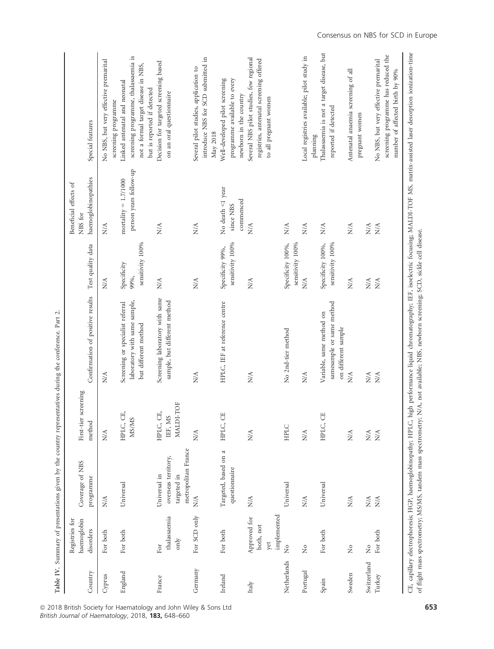|                       |                                                 |                                                                           |                                                                         | Table IV. Summary of presentations given by the country representatives during the conference. Part 2. |                                          |                                                            |                                                                                                                                             |
|-----------------------|-------------------------------------------------|---------------------------------------------------------------------------|-------------------------------------------------------------------------|--------------------------------------------------------------------------------------------------------|------------------------------------------|------------------------------------------------------------|---------------------------------------------------------------------------------------------------------------------------------------------|
| Country               | haemoglobin<br>Registries for<br>disorders      | Coverage of NBS<br>programme                                              | First-tier screening<br>method                                          | Confirmation of positive results                                                                       | Test quality data                        | haemoglobinopathies<br>Beneficial effects of<br>NBS for    | Special features                                                                                                                            |
| Cyprus                | For both                                        | $\mathop{\rm N/A}\nolimits$                                               | <b>N/A</b>                                                              | $\frac{\mathbf{A}}{\mathbf{A}}$                                                                        | N/A                                      | $\frac{\mathbf{A}}{\mathbf{A}}$                            | No NBS, but very effective premarital<br>screening programme                                                                                |
| England               | For both                                        | Universal                                                                 | CE,<br>$^{2}$<br>HPLC,<br><b>MSW</b>                                    | laboratory with same sample,<br>Screening or specialist referral<br>but different method               | sensitivity 100%<br>Specificity<br>99%,  | person years follow-up<br>mortality = $1.7/1000$           | screening programme, thalassaemia is<br>not a formal target disease in NBS,<br>Linked antenatal and neonatal<br>but is reported if detected |
| France                | thalassaemia<br>only<br>For                     | metropolitan France<br>overseas territory,<br>Universal in<br>targeted in | MALDI-TOF<br>U,<br>MS<br>HPLC,<br>IEF, N                                | Screening laboratory with same<br>sample, but different method                                         | $\frac{\triangleleft}{\triangle}$        | $\frac{\triangleleft}{\triangle}$                          | Decision for targeted screening based<br>on an oral questionnaire                                                                           |
| Germany               | For SCD only                                    | ${\rm N/A}$                                                               | $\mathop{\rm N/A}\nolimits$                                             | NA                                                                                                     | $\stackrel{\triangle}{\approx}$          | $\mathop{\rm NA}\nolimits$                                 | introduce NBS for SCD submitted in<br>Several pilot studies, application to<br>May 2018                                                     |
| Ireland               | For both                                        | Targeted, based on a<br>questionnaire                                     | ö<br>HPLC,                                                              | HPLC, IEF at reference centre                                                                          | sensitivity 100%<br>Specificity 99%,     | No death <1 year<br>commenced<br>since NBS                 | programme available to every<br>Well-developed pilot screening<br>newborn in the country                                                    |
| Italy                 | implemented<br>Approved for<br>both, not<br>yet | $\rm N/A$                                                                 | $\frac{\triangleleft}{\triangle}$                                       | NA                                                                                                     | $\stackrel{\triangle}{\scriptstyle\sim}$ | $\frac{\triangleleft}{\triangle}$                          | Several NBS pilot studies, few regional<br>registries, antenatal screening offered<br>to all pregnant women                                 |
| Netherlands           | $\overline{a}$                                  | Universal                                                                 | HPLC                                                                    | No 2nd-tier method                                                                                     | sensitivity 100%<br>Specificity 100%,    | $\stackrel{\triangle}{\geq}$                               |                                                                                                                                             |
| Portugal              | $\frac{1}{2}$                                   | $\rm N/A$                                                                 | $\rm N/A$                                                               | N/A                                                                                                    | $\stackrel{\triangle}{\scriptstyle\sim}$ | $\mathop{\rm N}\nolimits\!mathcal{A}$                      | Local registries available; pilot study in<br>planning                                                                                      |
| Spain                 | For both                                        | Universal                                                                 | U <sub>1</sub><br>HPLC,                                                 | samesample or same method<br>Variable, same method on<br>on different sample                           | sensitivity 100%<br>Specificity 100%,    | $\stackrel{\triangle}{\geq}$                               | Thalassaemia is not a target disease, but<br>reported if detected                                                                           |
| Switzerland<br>Sweden | $\stackrel{\circ}{\mathbf{Z}}$<br>$\frac{1}{2}$ | $\mathop{\rm NA}\nolimits$<br>$\mathop{\rm NA}\limits^\Delta$             | $\mathop{\rm N/A}\nolimits$<br>$\stackrel{\triangle}{\scriptstyle\sim}$ | $\rm N\!A$<br>N/A                                                                                      | N/A<br>$N\mathcal{A}$                    | $\mathop{\rm NA}\nolimits$<br>$\stackrel{\triangle}{\geq}$ | Antenatal anaemia screening of all<br>pregnant women                                                                                        |
| Turkey                | For both                                        | $_{\rm N/A}$                                                              | $\rm N/A$                                                               | $\mathop{\rm N}\nolimits\!mathcal{A}$                                                                  | $\mathop{\rm N}\nolimits\!mathcal{A}$    | N/A                                                        | screening programme has reduced the<br>No NBS, but very effective premarital<br>number of affected birth by 90%                             |

Consensus on NBS for SCD in Europe

CE, capillary electrophoresis; HGP, haemoglobinopathy; HPLC, high performance liquid chromatography; IEF, isoelectric focusing; MALDI-TOF MS, matrix-assisted laser desorption ionization-time

CE, capillary electrophoresis; HGP, haemoglobinopathy; HPLC, high performance liquid chromatography; IEF, isoelectric focusing; MALDI-TOF MS, matrix-assisted laser desorption ionization-time<br>of flight mass spectrometry; MS

of flight mass spectrometry; MS/MS, tandem mass spectrometry; N/A, not available; NBS, newborn screening; SCD, sickle cell disease.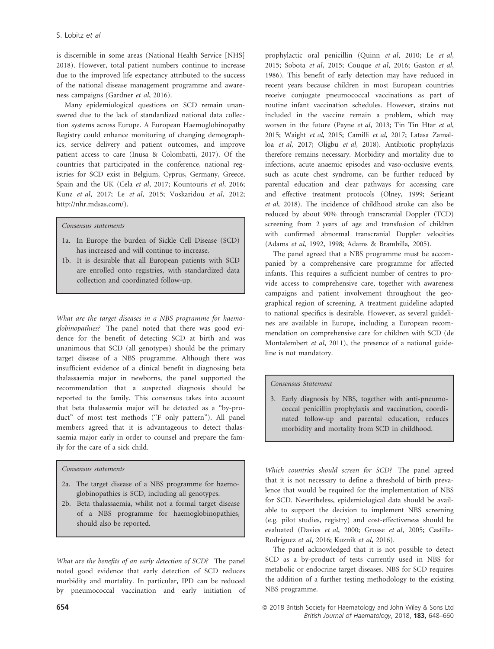is discernible in some areas (National Health Service [NHS] 2018). However, total patient numbers continue to increase due to the improved life expectancy attributed to the success of the national disease management programme and awareness campaigns (Gardner et al, 2016).

Many epidemiological questions on SCD remain unanswered due to the lack of standardized national data collection systems across Europe. A European Haemoglobinopathy Registry could enhance monitoring of changing demographics, service delivery and patient outcomes, and improve patient access to care (Inusa & Colombatti, 2017). Of the countries that participated in the conference, national registries for SCD exist in Belgium, Cyprus, Germany, Greece, Spain and the UK (Cela et al, 2017; Kountouris et al, 2016; Kunz et al, 2017; Le et al, 2015; Voskaridou et al, 2012; <http://nhr.mdsas.com/>).

## Consensus statements

- 1a. In Europe the burden of Sickle Cell Disease (SCD) has increased and will continue to increase.
- 1b. It is desirable that all European patients with SCD are enrolled onto registries, with standardized data collection and coordinated follow-up.

What are the target diseases in a NBS programme for haemoglobinopathies? The panel noted that there was good evidence for the benefit of detecting SCD at birth and was unanimous that SCD (all genotypes) should be the primary target disease of a NBS programme. Although there was insufficient evidence of a clinical benefit in diagnosing beta thalassaemia major in newborns, the panel supported the recommendation that a suspected diagnosis should be reported to the family. This consensus takes into account that beta thalassemia major will be detected as a "by-product" of most test methods ("F only pattern"). All panel members agreed that it is advantageous to detect thalassaemia major early in order to counsel and prepare the family for the care of a sick child.

#### Consensus statements

- 2a. The target disease of a NBS programme for haemoglobinopathies is SCD, including all genotypes.
- 2b. Beta thalassaemia, whilst not a formal target disease of a NBS programme for haemoglobinopathies, should also be reported.

What are the benefits of an early detection of SCD? The panel noted good evidence that early detection of SCD reduces morbidity and mortality. In particular, IPD can be reduced by pneumococcal vaccination and early initiation of prophylactic oral penicillin (Quinn et al, 2010; Le et al, 2015; Sobota et al, 2015; Couque et al, 2016; Gaston et al, 1986). This benefit of early detection may have reduced in recent years because children in most European countries receive conjugate pneumococcal vaccinations as part of routine infant vaccination schedules. However, strains not included in the vaccine remain a problem, which may worsen in the future (Payne et al, 2013; Tin Tin Htar et al, 2015; Waight et al, 2015; Camilli et al, 2017; Latasa Zamalloa et al, 2017; Oligbu et al, 2018). Antibiotic prophylaxis therefore remains necessary. Morbidity and mortality due to infections, acute anaemic episodes and vaso-occlusive events, such as acute chest syndrome, can be further reduced by parental education and clear pathways for accessing care and effective treatment protocols (Olney, 1999; Serjeant et al, 2018). The incidence of childhood stroke can also be reduced by about 90% through transcranial Doppler (TCD) screening from 2 years of age and transfusion of children with confirmed abnormal transcranial Doppler velocities (Adams et al, 1992, 1998; Adams & Brambilla, 2005).

The panel agreed that a NBS programme must be accompanied by a comprehensive care programme for affected infants. This requires a sufficient number of centres to provide access to comprehensive care, together with awareness campaigns and patient involvement throughout the geographical region of screening. A treatment guideline adapted to national specifics is desirable. However, as several guidelines are available in Europe, including a European recommendation on comprehensive care for children with SCD (de Montalembert et al, 2011), the presence of a national guideline is not mandatory.

## Consensus Statement

3. Early diagnosis by NBS, together with anti-pneumococcal penicillin prophylaxis and vaccination, coordinated follow-up and parental education, reduces morbidity and mortality from SCD in childhood.

Which countries should screen for SCD? The panel agreed that it is not necessary to define a threshold of birth prevalence that would be required for the implementation of NBS for SCD. Nevertheless, epidemiological data should be available to support the decision to implement NBS screening (e.g. pilot studies, registry) and cost-effectiveness should be evaluated (Davies et al, 2000; Grosse et al, 2005; Castilla-Rodríguez et al, 2016; Kuznik et al, 2016).

The panel acknowledged that it is not possible to detect SCD as a by-product of tests currently used in NBS for metabolic or endocrine target diseases. NBS for SCD requires the addition of a further testing methodology to the existing NBS programme.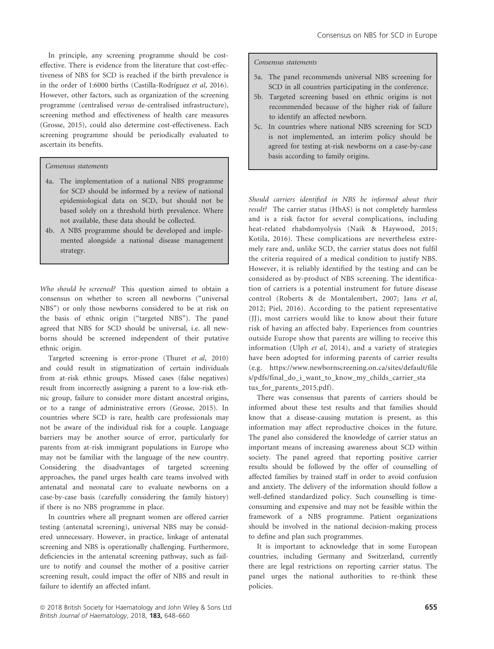Consensus on NBS for SCD in Europe

In principle, any screening programme should be costeffective. There is evidence from the literature that cost-effectiveness of NBS for SCD is reached if the birth prevalence is in the order of 1:6000 births (Castilla-Rodríguez *et al*, 2016). However, other factors, such as organization of the screening programme (centralised versus de-centralised infrastructure), screening method and effectiveness of health care measures (Grosse, 2015), could also determine cost-effectiveness. Each screening programme should be periodically evaluated to ascertain its benefits.

## Consensus statements

- 4a. The implementation of a national NBS programme for SCD should be informed by a review of national epidemiological data on SCD, but should not be based solely on a threshold birth prevalence. Where not available, these data should be collected.
- 4b. A NBS programme should be developed and implemented alongside a national disease management strategy.

Who should be screened? This question aimed to obtain a consensus on whether to screen all newborns ("universal NBS") or only those newborns considered to be at risk on the basis of ethnic origin ("targeted NBS"). The panel agreed that NBS for SCD should be universal, i.e. all newborns should be screened independent of their putative ethnic origin.

Targeted screening is error-prone (Thuret et al, 2010) and could result in stigmatization of certain individuals from at-risk ethnic groups. Missed cases (false negatives) result from incorrectly assigning a parent to a low-risk ethnic group, failure to consider more distant ancestral origins, or to a range of administrative errors (Grosse, 2015). In countries where SCD is rare, health care professionals may not be aware of the individual risk for a couple. Language barriers may be another source of error, particularly for parents from at-risk immigrant populations in Europe who may not be familiar with the language of the new country. Considering the disadvantages of targeted screening approaches, the panel urges health care teams involved with antenatal and neonatal care to evaluate newborns on a case-by-case basis (carefully considering the family history) if there is no NBS programme in place.

In countries where all pregnant women are offered carrier testing (antenatal screening), universal NBS may be considered unnecessary. However, in practice, linkage of antenatal screening and NBS is operationally challenging. Furthermore, deficiencies in the antenatal screening pathway, such as failure to notify and counsel the mother of a positive carrier screening result, could impact the offer of NBS and result in failure to identify an affected infant.

#### Consensus statements

- 5a. The panel recommends universal NBS screening for SCD in all countries participating in the conference.
- 5b. Targeted screening based on ethnic origins is not recommended because of the higher risk of failure to identify an affected newborn.
- 5c. In countries where national NBS screening for SCD is not implemented, an interim policy should be agreed for testing at-risk newborns on a case-by-case basis according to family origins.

Should carriers identified in NBS be informed about their result? The carrier status (HbAS) is not completely harmless and is a risk factor for several complications, including heat-related rhabdomyolysis (Naik & Haywood, 2015; Kotila, 2016). These complications are nevertheless extremely rare and, unlike SCD, the carrier status does not fulfil the criteria required of a medical condition to justify NBS. However, it is reliably identified by the testing and can be considered as by-product of NBS screening. The identification of carriers is a potential instrument for future disease control (Roberts & de Montalembert, 2007; Jans et al, 2012; Piel, 2016). According to the patient representative (JJ), most carriers would like to know about their future risk of having an affected baby. Experiences from countries outside Europe show that parents are willing to receive this information (Ulph et al, 2014), and a variety of strategies have been adopted for informing parents of carrier results (e.g. [https://www.newbornscreening.on.ca/sites/default/file](https://www.newbornscreening.on.ca/sites/default/files/pdfs/final_do_i_want_to_know_my_childs_carrier_status_for_parents_2015.pdf) [s/pdfs/final\\_do\\_i\\_want\\_to\\_know\\_my\\_childs\\_carrier\\_sta](https://www.newbornscreening.on.ca/sites/default/files/pdfs/final_do_i_want_to_know_my_childs_carrier_status_for_parents_2015.pdf) [tus\\_for\\_parents\\_2015.pdf\)](https://www.newbornscreening.on.ca/sites/default/files/pdfs/final_do_i_want_to_know_my_childs_carrier_status_for_parents_2015.pdf).

There was consensus that parents of carriers should be informed about these test results and that families should know that a disease-causing mutation is present, as this information may affect reproductive choices in the future. The panel also considered the knowledge of carrier status an important means of increasing awareness about SCD within society. The panel agreed that reporting positive carrier results should be followed by the offer of counselling of affected families by trained staff in order to avoid confusion and anxiety. The delivery of the information should follow a well-defined standardized policy. Such counselling is timeconsuming and expensive and may not be feasible within the framework of a NBS programme. Patient organizations should be involved in the national decision-making process to define and plan such programmes.

It is important to acknowledge that in some European countries, including Germany and Switzerland, currently there are legal restrictions on reporting carrier status. The panel urges the national authorities to re-think these policies.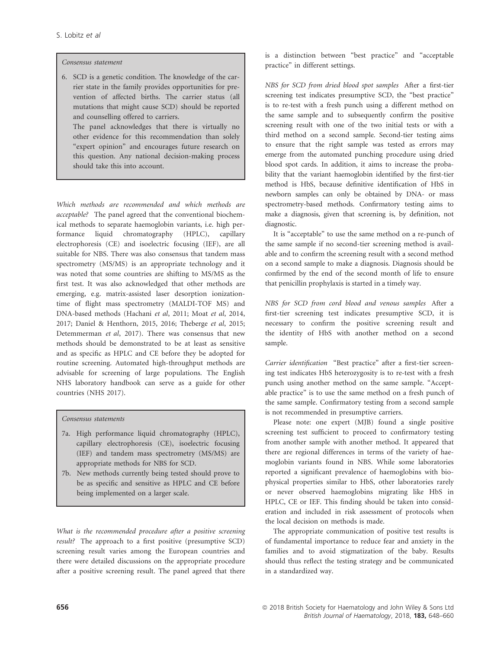# Consensus statement

6. SCD is a genetic condition. The knowledge of the carrier state in the family provides opportunities for prevention of affected births. The carrier status (all mutations that might cause SCD) should be reported and counselling offered to carriers. The panel acknowledges that there is virtually no

other evidence for this recommendation than solely "expert opinion" and encourages future research on this question. Any national decision-making process should take this into account.

Which methods are recommended and which methods are acceptable? The panel agreed that the conventional biochemical methods to separate haemoglobin variants, i.e. high performance liquid chromatography (HPLC), capillary electrophoresis (CE) and isoelectric focusing (IEF), are all suitable for NBS. There was also consensus that tandem mass spectrometry (MS/MS) is an appropriate technology and it was noted that some countries are shifting to MS/MS as the first test. It was also acknowledged that other methods are emerging, e.g. matrix-assisted laser desorption ionizationtime of flight mass spectrometry (MALDI-TOF MS) and DNA-based methods (Hachani et al, 2011; Moat et al, 2014, 2017; Daniel & Henthorn, 2015, 2016; Theberge et al, 2015; Detemmerman et al, 2017). There was consensus that new methods should be demonstrated to be at least as sensitive and as specific as HPLC and CE before they be adopted for routine screening. Automated high-throughput methods are advisable for screening of large populations. The English NHS laboratory handbook can serve as a guide for other countries (NHS 2017).

# Consensus statements

- 7a. High performance liquid chromatography (HPLC), capillary electrophoresis (CE), isoelectric focusing (IEF) and tandem mass spectrometry (MS/MS) are appropriate methods for NBS for SCD.
- 7b. New methods currently being tested should prove to be as specific and sensitive as HPLC and CE before being implemented on a larger scale.

What is the recommended procedure after a positive screening result? The approach to a first positive (presumptive SCD) screening result varies among the European countries and there were detailed discussions on the appropriate procedure after a positive screening result. The panel agreed that there is a distinction between "best practice" and "acceptable practice" in different settings.

NBS for SCD from dried blood spot samples After a first-tier screening test indicates presumptive SCD, the "best practice" is to re-test with a fresh punch using a different method on the same sample and to subsequently confirm the positive screening result with one of the two initial tests or with a third method on a second sample. Second-tier testing aims to ensure that the right sample was tested as errors may emerge from the automated punching procedure using dried blood spot cards. In addition, it aims to increase the probability that the variant haemoglobin identified by the first-tier method is HbS, because definitive identification of HbS in newborn samples can only be obtained by DNA- or mass spectrometry-based methods. Confirmatory testing aims to make a diagnosis, given that screening is, by definition, not diagnostic.

It is "acceptable" to use the same method on a re-punch of the same sample if no second-tier screening method is available and to confirm the screening result with a second method on a second sample to make a diagnosis. Diagnosis should be confirmed by the end of the second month of life to ensure that penicillin prophylaxis is started in a timely way.

NBS for SCD from cord blood and venous samples After a first-tier screening test indicates presumptive SCD, it is necessary to confirm the positive screening result and the identity of HbS with another method on a second sample.

Carrier identification "Best practice" after a first-tier screening test indicates HbS heterozygosity is to re-test with a fresh punch using another method on the same sample. "Acceptable practice" is to use the same method on a fresh punch of the same sample. Confirmatory testing from a second sample is not recommended in presumptive carriers.

Please note: one expert (MJB) found a single positive screening test sufficient to proceed to confirmatory testing from another sample with another method. It appeared that there are regional differences in terms of the variety of haemoglobin variants found in NBS. While some laboratories reported a significant prevalence of haemoglobins with biophysical properties similar to HbS, other laboratories rarely or never observed haemoglobins migrating like HbS in HPLC, CE or IEF. This finding should be taken into consideration and included in risk assessment of protocols when the local decision on methods is made.

The appropriate communication of positive test results is of fundamental importance to reduce fear and anxiety in the families and to avoid stigmatization of the baby. Results should thus reflect the testing strategy and be communicated in a standardized way.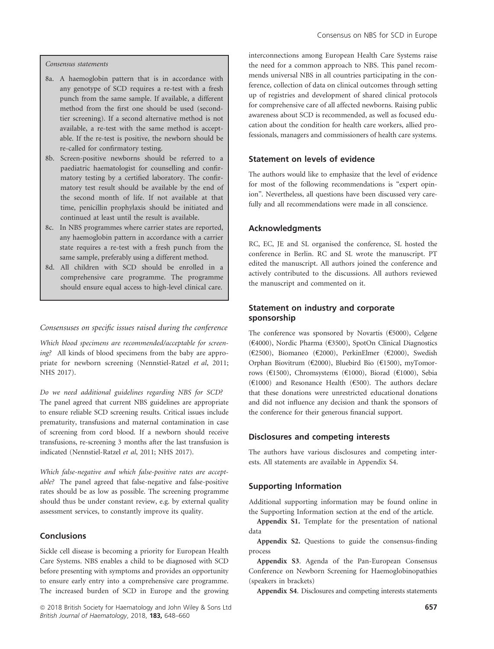Consensus statements

- 8a. A haemoglobin pattern that is in accordance with any genotype of SCD requires a re-test with a fresh punch from the same sample. If available, a different method from the first one should be used (secondtier screening). If a second alternative method is not available, a re-test with the same method is acceptable. If the re-test is positive, the newborn should be re-called for confirmatory testing.
- 8b. Screen-positive newborns should be referred to a paediatric haematologist for counselling and confirmatory testing by a certified laboratory. The confirmatory test result should be available by the end of the second month of life. If not available at that time, penicillin prophylaxis should be initiated and continued at least until the result is available.
- 8c. In NBS programmes where carrier states are reported, any haemoglobin pattern in accordance with a carrier state requires a re-test with a fresh punch from the same sample, preferably using a different method.
- 8d. All children with SCD should be enrolled in a comprehensive care programme. The programme should ensure equal access to high-level clinical care.

## Consensuses on specific issues raised during the conference

Which blood specimens are recommended/acceptable for screening? All kinds of blood specimens from the baby are appropriate for newborn screening (Nennstiel-Ratzel et al, 2011; NHS 2017).

Do we need additional guidelines regarding NBS for SCD? The panel agreed that current NBS guidelines are appropriate to ensure reliable SCD screening results. Critical issues include prematurity, transfusions and maternal contamination in case of screening from cord blood. If a newborn should receive transfusions, re-screening 3 months after the last transfusion is indicated (Nennstiel-Ratzel et al, 2011; NHS 2017).

Which false-negative and which false-positive rates are acceptable? The panel agreed that false-negative and false-positive rates should be as low as possible. The screening programme should thus be under constant review, e.g. by external quality assessment services, to constantly improve its quality.

# **Conclusions**

Sickle cell disease is becoming a priority for European Health Care Systems. NBS enables a child to be diagnosed with SCD before presenting with symptoms and provides an opportunity to ensure early entry into a comprehensive care programme. The increased burden of SCD in Europe and the growing

© 2018 British Society for Haematology and John Wiley & Sons Ltd 657 British Journal of Haematology, 2018, 183, 648-660

interconnections among European Health Care Systems raise the need for a common approach to NBS. This panel recommends universal NBS in all countries participating in the conference, collection of data on clinical outcomes through setting up of registries and development of shared clinical protocols for comprehensive care of all affected newborns. Raising public awareness about SCD is recommended, as well as focused education about the condition for health care workers, allied professionals, managers and commissioners of health care systems.

# Statement on levels of evidence

The authors would like to emphasize that the level of evidence for most of the following recommendations is "expert opinion". Nevertheless, all questions have been discussed very carefully and all recommendations were made in all conscience.

## Acknowledgments

RC, EC, JE and SL organised the conference, SL hosted the conference in Berlin. RC and SL wrote the manuscript. PT edited the manuscript. All authors joined the conference and actively contributed to the discussions. All authors reviewed the manuscript and commented on it.

# Statement on industry and corporate sponsorship

The conference was sponsored by Novartis (€5000), Celgene (€4000), Nordic Pharma (€3500), SpotOn Clinical Diagnostics (€2500), Biomaneo (€2000), PerkinElmer (€2000), Swedish Orphan Biovitrum (€2000), Bluebird Bio (€1500), myTomorrows (€1500), Chromsystems (€1000), Biorad (€1000), Sebia ( $€1000$ ) and Resonance Health ( $€500$ ). The authors declare that these donations were unrestricted educational donations and did not influence any decision and thank the sponsors of the conference for their generous financial support.

## Disclosures and competing interests

The authors have various disclosures and competing interests. All statements are available in Appendix S4.

## Supporting Information

Additional supporting information may be found online in the Supporting Information section at the end of the article.

Appendix S1. Template for the presentation of national data

Appendix S2. Questions to guide the consensus-finding process

Appendix S3. Agenda of the Pan-European Consensus Conference on Newborn Screening for Haemoglobinopathies (speakers in brackets)

Appendix S4. Disclosures and competing interests statements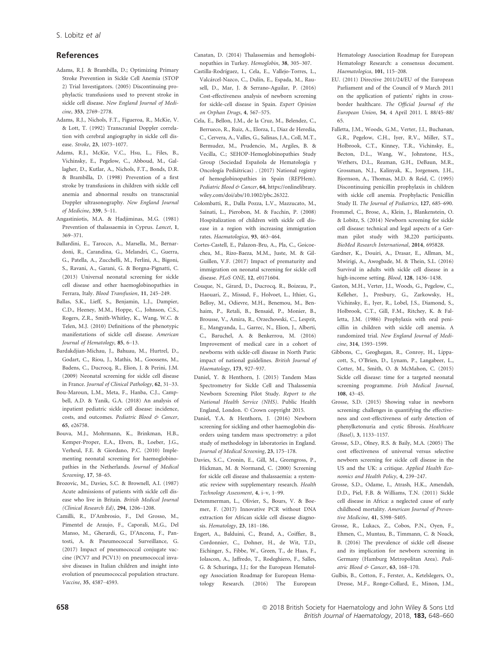## References

- Adams, R.J. & Brambilla, D.; Optimizing Primary Stroke Prevention in Sickle Cell Anemia (STOP 2) Trial Investigators. (2005) Discontinuing prophylactic transfusions used to prevent stroke in sickle cell disease. New England Journal of Medicine, 353, 2769–2778.
- Adams, R.J., Nichols, F.T., Figueroa, R., McKie, V. & Lott, T. (1992) Transcranial Doppler correlation with cerebral angiography in sickle cell disease. Stroke, 23, 1073–1077.
- Adams, R.J., McKie, V.C., Hsu, L., Files, B., Vichinsky, E., Pegelow, C., Abboud, M., Gallagher, D., Kutlar, A., Nichols, F.T., Bonds, D.R. & Brambilla, D. (1998) Prevention of a first stroke by transfusions in children with sickle cell anemia and abnormal results on transcranial Doppler ultrasonography. New England Journal of Medicine, 339, 5–11.
- Angastiniotis, M.A. & Hadjiminas, M.G. (1981) Prevention of thalassaemia in Cyprus. Lancet, 1, 369–371.
- Ballardini, E., Tarocco, A., Marsella, M., Bernardoni, R., Carandina, G., Melandri, C., Guerra, G., Patella, A., Zucchelli, M., Ferlini, A., Bigoni, S., Ravani, A., Garani, G. & Borgna-Pignatti, C. (2013) Universal neonatal screening for sickle cell disease and other haemoglobinopathies in Ferrara, Italy. Blood Transfusion, 11, 245–249.
- Ballas, S.K., Lieff, S., Benjamin, L.J., Dampier, C.D., Heeney, M.M., Hoppe, C., Johnson, C.S., Rogers, Z.R., Smith-Whitley, K., Wang, W.C. & Telen, M.J. (2010) Definitions of the phenotypic manifestations of sickle cell disease. American Journal of Hematology, 85, 6–13.
- Bardakdjian-Michau, J., Bahuau, M., Hurtrel, D., Godart, C., Riou, J., Mathis, M., Goossens, M., Badens, C., Ducrocq, R., Elion, J. & Perini, J.M. (2009) Neonatal screening for sickle cell disease in France. Journal of Clinical Pathology, 62, 31–33.
- Bou-Maroun, L.M., Meta, F., Hanba, C.J., Campbell, A.D. & Yanik, G.A. (2018) An analysis of inpatient pediatric sickle cell disease: incidence, costs, and outcomes. Pediatric Blood & Cancer, 65, e26758.
- Bouva, M.J., Mohrmann, K., Brinkman, H.B., Kemper-Proper, E.A., Elvers, B., Loeber, J.G., Verheul, F.E. & Giordano, P.C. (2010) Implementing neonatal screening for haemoglobinopathies in the Netherlands. Journal of Medical Screening, 17, 58–65.
- Brozovic, M., Davies, S.C. & Brownell, A.I. (1987) Acute admissions of patients with sickle cell disease who live in Britain. British Medical Journal (Clinical Research Ed), 294, 1206–1208.
- Camilli, R., D'Ambrosio, F., Del Grosso, M., Pimentel de Araujo, F., Caporali, M.G., Del Manso, M., Gherardi, G., D'Ancona, F., Pantosti, A. & Pneumococcal Surveillance, G. (2017) Impact of pneumococcal conjugate vaccine (PCV7 and PCV13) on pneumococcal invasive diseases in Italian children and insight into evolution of pneumococcal population structure. Vaccine, 35, 4587–4593.

Canatan, D. (2014) Thalassemias and hemoglobinopathies in Turkey. Hemoglobin, 38, 305–307.

- Castilla-Rodríguez, I., Cela, E., Vallejo-Torres, L., Valcárcel-Nazco, C., Dulín, E., Espada, M., Rausell, D., Mar, J. & Serrano-Aguilar, P. (2016) Cost-effectiveness analysis of newborn screening for sickle-cell disease in Spain. Expert Opinion on Orphan Drugs, 4, 567–575.
- Cela, E., Bellon, J.M., de la Cruz, M., Belendez, C., Berrueco, R., Ruiz, A., Elorza, I., Diaz de Heredia, C., Cervera, A., Valles, G., Salinas, J.A., Coll, M.T., Bermudez, M., Prudencio, M., Argiles, B. & Vecilla, C.; SEHOP-Hemoglobinopathies Study Group (Sociedad Española de Hematología y Oncología Pediátricas) . (2017) National registry of hemoglobinopathies in Spain (REPHem). Pediatric Blood & Cancer, 64, [https://onlinelibrary.](https://onlinelibrary.wiley.com/doi/abs/10.1002/pbc.26322) [wiley.com/doi/abs/10.1002/pbc.26322.](https://onlinelibrary.wiley.com/doi/abs/10.1002/pbc.26322)
- Colombatti, R., Dalla Pozza, L.V., Mazzucato, M., Sainati, L., Pierobon, M. & Facchin, P. (2008) Hospitalization of children with sickle cell disease in a region with increasing immigration rates. Haematologica, 93, 463–464.
- Cortes-Castell, E., Palazon-Bru, A., Pla, C., Goicoechea, M., Rizo-Baeza, M.M., Juste, M. & Gil-Guillen, V.F. (2017) Impact of prematurity and immigration on neonatal screening for sickle cell disease. PLoS ONE, 12, e0171604.
- Couque, N., Girard, D., Ducrocq, R., Boizeau, P., Haouari, Z., Missud, F., Holvoet, L., Ithier, G., Belloy, M., Odievre, M.H., Benemou, M., Benhaim, P., Retali, B., Bensaid, P., Monier, B., Brousse, V., Amira, R., Orzechowski, C., Lesprit, E., Mangyanda, L., Garrec, N., Elion, J., Alberti, C., Baruchel, A. & Benkerrou, M. (2016) Improvement of medical care in a cohort of newborns with sickle-cell disease in North Paris: impact of national guidelines. British Journal of Haematology, 173, 927–937.
- Daniel, Y. & Henthorn, J. (2015) Tandem Mass Spectrometry for Sickle Cell and Thalassemia Newborn Screening Pilot Study. Report to the National Health Service (NHS). Public Health England, London. © Crown copyright 2015.
- Daniel, Y.A. & Henthorn, J. (2016) Newborn screening for sickling and other haemoglobin disorders using tandem mass spectrometry: a pilot study of methodology in laboratories in England. Journal of Medical Screening, 23, 175–178.
- Davies, S.C., Cronin, E., Gill, M., Greengross, P., Hickman, M. & Normand, C. (2000) Screening for sickle cell disease and thalassaemia: a systematic review with supplementary research. Health Technology Assessment, 4, i–v, 1–99.
- Detemmerman, L., Olivier, S., Bours, V. & Boemer, F. (2017) Innovative PCR without DNA extraction for African sickle cell disease diagnosis. Hematology, 23, 181–186.
- Engert, A., Balduini, C., Brand, A., Coiffier, B., Cordonnier, C., Dohner, H., de Wit, T.D., Eichinger, S., Fibbe, W., Green, T., de Haas, F., Iolascon, A., Jaffredo, T., Rodeghiero, F., Salles, G. & Schuringa, J.J.; for the European Hematology Association Roadmap for European Hematology Research. (2016) The European

Hematology Association Roadmap for European Hematology Research: a consensus document. Haematologica, 101, 115–208.

- EU. (2011) Directive 2011/24/EU of the European Parliament and of the Council of 9 March 2011 on the application of patients' rights in crossborder healthcare. The Official Journal of the European Union, 54, 4 April 2011. L 88/45–88/ 65.
- Falletta, J.M., Woods, G.M., Verter, J.I., Buchanan, G.R., Pegelow, C.H., Iyer, R.V., Miller, S.T., Holbrook, C.T., Kinney, T.R., Vichinsky, E., Becton, D.L., Wang, W., Johnstone, H.S., Wethers, D.L., Reaman, G.H., DeBaun, M.R., Grossman, N.J., Kalinyak, K., Jorgensen, J.H., Bjornson, A., Thomas, M.D. & Reid, C. (1995) Discontinuing penicillin prophylaxis in children with sickle cell anemia. Prophylactic Penicillin Study II. The Journal of Pediatrics, 127, 685–690.
- Frommel, C., Brose, A., Klein, J., Blankenstein, O. & Lobitz, S. (2014) Newborn screening for sickle cell disease: technical and legal aspects of a German pilot study with 38,220 participants. BioMed Research International, 2014, 695828.
- Gardner, K., Douiri, A., Drasar, E., Allman, M., Mwirigi, A., Awogbade, M. & Thein, S.L. (2016) Survival in adults with sickle cell disease in a high-income setting. Blood, 128, 1436–1438.
- Gaston, M.H., Verter, J.I., Woods, G., Pegelow, C., Kelleher, J., Presbury, G., Zarkowsky, H., Vichinsky, E., Iyer, R., Lobel, J.S., Diamond, S., Holbrook, C.T., Gill, F.M., Ritchey, K. & Falletta, J.M. (1986) Prophylaxis with oral penicillin in children with sickle cell anemia. A randomized trial. New England Journal of Medicine, 314, 1593–1599.
- Gibbons, C., Geoghegan, R., Conroy, H., Lippacott, S., O'Brien, D., Lynam, P., Langabeer, L., Cotter, M., Smith, O. & McMahon, C. (2015) Sickle cell disease: time for a targeted neonatal screening programme. Irish Medical Journal, 108, 43–45.
- Grosse, S.D. (2015) Showing value in newborn screening: challenges in quantifying the effectiveness and cost-effectiveness of early detection of phenylketonuria and cystic fibrosis. Healthcare (Basel), 3, 1133–1157.
- Grosse, S.D., Olney, R.S. & Baily, M.A. (2005) The cost effectiveness of universal versus selective newborn screening for sickle cell disease in the US and the UK: a critique. Applied Health Economics and Health Policy, 4, 239–247.
- Grosse, S.D., Odame, I., Atrash, H.K., Amendah, D.D., Piel, F.B. & Williams, T.N. (2011) Sickle cell disease in Africa: a neglected cause of early childhood mortality. American Journal of Preventive Medicine, 41, S398–S405.
- Grosse, R., Lukacs, Z., Cobos, P.N., Oyen, F., Ehmen, C., Muntau, B., Timmann, C. & Noack, B. (2016) The prevalence of sickle cell disease and its implication for newborn screening in Germany (Hamburg Metropolitan Area). Pediatric Blood & Cancer, 63, 168–170.
- Gulbis, B., Cotton, F., Ferster, A., Ketelslegers, O., Dresse, M.F., Ronge-Collard, E., Minon, J.M.,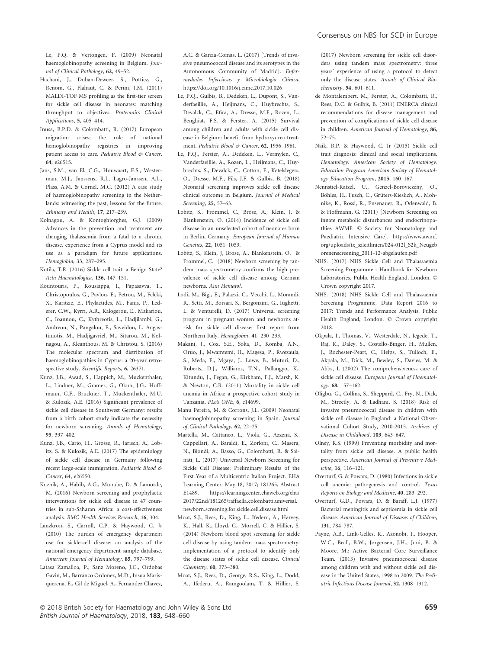Le, P.Q. & Vertongen, F. (2009) Neonatal haemoglobinopathy screening in Belgium. Journal of Clinical Pathology, 62, 49–52.

- Hachani, J., Duban-Deweer, S., Pottiez, G., Renom, G., Flahaut, C. & Perini, J.M. (2011) MALDI-TOF MS profiling as the first-tier screen for sickle cell disease in neonates: matching throughput to objectives. Proteomics Clinical Applications, 5, 405–414.
- Inusa, B.P.D. & Colombatti, R. (2017) European migration crises: the role of national hemoglobinopathy registries in improving patient access to care. Pediatric Blood & Cancer, 64, e26515.
- Jans, S.M., van El, C.G., Houwaart, E.S., Westerman, M.J., Janssens, R.J., Lagro-Janssen, A.L., Plass, A.M. & Cornel, M.C. (2012) A case study of haemoglobinopathy screening in the Netherlands: witnessing the past, lessons for the future. Ethnicity and Health, 17, 217–239.
- Kolnagou, A. & Kontoghiorghes, G.J. (2009) Advances in the prevention and treatment are changing thalassemia from a fatal to a chronic disease. experience from a Cyprus model and its use as a paradigm for future applications. Hemoglobin, 33, 287–295.
- Kotila, T.R. (2016) Sickle cell trait: a Benign State? Acta Haematologica, 136, 147–151.
- Kountouris, P., Kousiappa, I., Papasavva, T., Christopoulos, G., Pavlou, E., Petrou, M., Feleki, X., Karitzie, E., Phylactides, M., Fanis, P., Lederer, C.W., Kyrri, A.R., Kalogerou, E., Makariou, C., Ioannou, C., Kythreotis, L., Hadjilambi, G., Andreou, N., Pangalou, E., Savvidou, I., Angastiniotis, M., Hadjigavriel, M., Sitarou, M., Kolnagou, A., Kleanthous, M. & Christou, S. (2016) The molecular spectrum and distribution of haemoglobinopathies in Cyprus: a 20-year retrospective study. Scientific Reports, 6, 26371.
- Kunz, J.B., Awad, S., Happich, M., Muckenthaler, L., Lindner, M., Gramer, G., Okun, J.G., Hoffmann, G.F., Bruckner, T., Muckenthaler, M.U. & Kulozik, A.E. (2016) Significant prevalence of sickle cell disease in Southwest Germany: results from a birth cohort study indicate the necessity for newborn screening. Annals of Hematology, 95, 397–402.
- Kunz, J.B., Cario, H., Grosse, R., Jarisch, A., Lobitz, S. & Kulozik, A.E. (2017) The epidemiology of sickle cell disease in Germany following recent large-scale immigration. Pediatric Blood & Cancer, 64, e26550.
- Kuznik, A., Habib, A.G., Munube, D. & Lamorde, M. (2016) Newborn screening and prophylactic interventions for sickle cell disease in 47 countries in sub-Saharan Africa: a cost-effectiveness analysis. BMC Health Services Research, 16, 304.
- Lanzkron, S., Carroll, C.P. & Haywood, C. Jr (2010) The burden of emergency department use for sickle-cell disease: an analysis of the national emergency department sample database. American Journal of Hematology, 85, 797–799.
- Latasa Zamalloa, P., Sanz Moreno, J.C., Ordobas Gavin, M., Barranco Ordonez, M.D., Insua Marisquerena, E., Gil de Miguel, A., Fernandez Chavez,

A.C. & Garcia-Comas, L. (2017) [Trends of invasive pneumococcal disease and its serotypes in the Autonomous Community of Madrid]. Enfermedades Infecciosas y Microbiologia Clinica, <https://doi.org/10.1016/j.eimc.2017.10.026>

- Le, P.Q., Gulbis, B., Dedeken, L., Dupont, S., Vanderfaeillie, A., Heijmans, C., Huybrechts, S., Devalck, C., Efira, A., Dresse, M.F., Rozen, L., Benghiat, F.S. & Ferster, A. (2015) Survival among children and adults with sickle cell disease in Belgium: benefit from hydroxyurea treatment. Pediatric Blood & Cancer, 62, 1956–1961.
- Le, P.Q., Ferster, A., Dedeken, L., Vermylen, C., Vanderfaeillie, A., Rozen, L., Heijmans, C., Huybrechts, S., Devalck, C., Cotton, F., Ketelslegers, O., Dresse, M.F., Fils, J.F. & Gulbis, B. (2018) Neonatal screening improves sickle cell disease clinical outcome in Belgium. Journal of Medical Screening, 25, 57–63.
- Lobitz, S., Frommel, C., Brose, A., Klein, J. & Blankenstein, O. (2014) Incidence of sickle cell disease in an unselected cohort of neonates born in Berlin, Germany. European Journal of Human Genetics, 22, 1051–1053.
- Lobitz, S., Klein, J, Brose, A., Blankenstein, O. & Frommel, C. (2018) Newborn screening by tandem mass spectrometry confirms the high prevalence of sickle cell disease among German newborns. Ann Hematol.
- Lodi, M., Bigi, E., Palazzi, G., Vecchi, L., Morandi, R., Setti, M., Borsari, S., Bergonzini, G., Iughetti, L. & Venturelli, D. (2017) Universal screening program in pregnant women and newborns atrisk for sickle cell disease: first report from Northern Italy. Hemoglobin, 41, 230–233.
- Makani, J., Cox, S.E., Soka, D., Komba, A.N., Oruo, J., Mwamtemi, H., Magesa, P., Rwezaula, S., Meda, E., Mgaya, J., Lowe, B., Muturi, D., Roberts, D.J., Williams, T.N., Pallangyo, K., Kitundu, J., Fegan, G., Kirkham, F.J., Marsh, K. & Newton, C.R. (2011) Mortality in sickle cell anemia in Africa: a prospective cohort study in Tanzania. PLoS ONE, 6, e14699.
- Manu Pereira, M. & Corrons, J.L. (2009) Neonatal haemoglobinopathy screening in Spain. Journal of Clinical Pathology, 62, 22–25.
- Martella, M., Cattaneo, L., Viola, G., Azzena, S., Cappellari, A., Baraldi, E., Zorloni, C., Masera, N., Biondi, A., Basso, G., Colombatti, R. & Sainati, L. (2017) Universal Newborn Screening for Sickle Cell Disease: Preliminary Results of the First Year of a Multicentric Italian Project. EHA Learning Center. May 18, 2017; 181265, Abstract E1489. [https://learningcenter.ehaweb.org/eha/](https://learningcenter.ehaweb.org/eha/2017/22nd/181265/raffaella.colombatti.universal.newborn.screening.for.sickle.cell.disease.html) [2017/22nd/181265/raffaella.colombatti.universal.](https://learningcenter.ehaweb.org/eha/2017/22nd/181265/raffaella.colombatti.universal.newborn.screening.for.sickle.cell.disease.html) [newborn.screening.for.sickle.cell.disease.html](https://learningcenter.ehaweb.org/eha/2017/22nd/181265/raffaella.colombatti.universal.newborn.screening.for.sickle.cell.disease.html)
- Moat, S.J., Rees, D., King, L., Ifederu, A., Harvey, K., Hall, K., Lloyd, G., Morrell, C. & Hillier, S. (2014) Newborn blood spot screening for sickle cell disease by using tandem mass spectrometry: implementation of a protocol to identify only the disease states of sickle cell disease. Clinical Chemistry, 60, 373–380.
- Moat, S.J., Rees, D., George, R.S., King, L., Dodd, A., Ifederu, A., Ramgoolam, T. & Hillier, S.

(2017) Newborn screening for sickle cell disorders using tandem mass spectrometry: three years' experience of using a protocol to detect only the disease states. Annals of Clinical Biochemistry, 54, 601–611.

- de Montalembert, M., Ferster, A., Colombatti, R., Rees, D.C. & Gulbis, B. (2011) ENERCA clinical recommendations for disease management and prevention of complications of sickle cell disease in children. American Journal of Hematology, 86, 72–75.
- Naik, R.P. & Haywood, C. Jr (2015) Sickle cell trait diagnosis: clinical and social implications. Hematology. American Society of Hematology. Education Program American Society of Hematology Education Program, 2015, 160–167.
- Nennstiel-Ratzel, U., Genzel-Boroviczény, O., Böhles, H., Fusch, C., Grüters-Kieslich, A., Mohnike, K., Rossi, R., Ensenauer, R., Odenwald, B. & Hoffmann, G. (2011) [Newborn Screening on innate metabolic disturbances and endocrinopathies AWMF. © Society for Neonatology and Paediatric Intensive Care]. [https://www.awmf.](https://www.awmf.org/uploads/tx_szleitlinien/024-012l_S2k_Neugeborenenscreening_2011-12-abgelaufen.pdf) [org/uploads/tx\\_szleitlinien/024-012l\\_S2k\\_Neugeb](https://www.awmf.org/uploads/tx_szleitlinien/024-012l_S2k_Neugeborenenscreening_2011-12-abgelaufen.pdf) [orenenscreening\\_2011-12-abgelaufen.pdf](https://www.awmf.org/uploads/tx_szleitlinien/024-012l_S2k_Neugeborenenscreening_2011-12-abgelaufen.pdf)
- NHS. (2017) NHS Sickle Cell and Thalassaemia Screening Programme - Handbook for Newborn Laboratories. Public Health England, London. © Crown copyright 2017.
- NHS. (2018) NHS Sickle Cell and Thalassaemia Screening Programme, Data Report 2016 to 2017: Trends and Performance Analysis. Public Health England, London. © Crown copyright 2018.
- Okpala, I., Thomas, V., Westerdale, N., Jegede, T., Raj, K., Daley, S., Costello-Binger, H., Mullen, J., Rochester-Peart, C., Helps, S., Tulloch, E., Akpala, M., Dick, M., Bewley, S., Davies, M. & Abbs, I. (2002) The comprehensiveness care of sickle cell disease. European Journal of Haematology, 68, 157–162.
- Oligbu, G., Collins, S., Sheppard, C., Fry, N., Dick, M., Streetly, A. & Ladhani, S. (2018) Risk of invasive pneumococcal disease in children with sickle cell disease in England: a National Observational Cohort Study, 2010-2015. Archives of Disease in Childhood, 103, 643–647.
- Olney, R.S. (1999) Preventing morbidity and mortality from sickle cell disease. A public health perspective. American Journal of Preventive Medicine, 16, 116–121.
- Overturf, G. & Powars, D. (1980) Infections in sickle cell anemia: pathogenesis and control. Texas Reports on Biology and Medicine, 40, 283–292.
- Overturf, G.D., Powars, D. & Baraff, L.J. (1977) Bacterial meningitis and septicemia in sickle cell disease. American Journal of Diseases of Children, 131, 784–787.
- Payne, A.B., Link-Gelles, R., Azonobi, I., Hooper, W.C., Beall, B.W., Jorgensen, J.H., Juni, B. & Moore, M.; Active Bacterial Core Surveillance Team. (2013) Invasive pneumococcal disease among children with and without sickle cell disease in the United States, 1998 to 2009. The Pediatric Infectious Disease Journal, 32, 1308–1312.